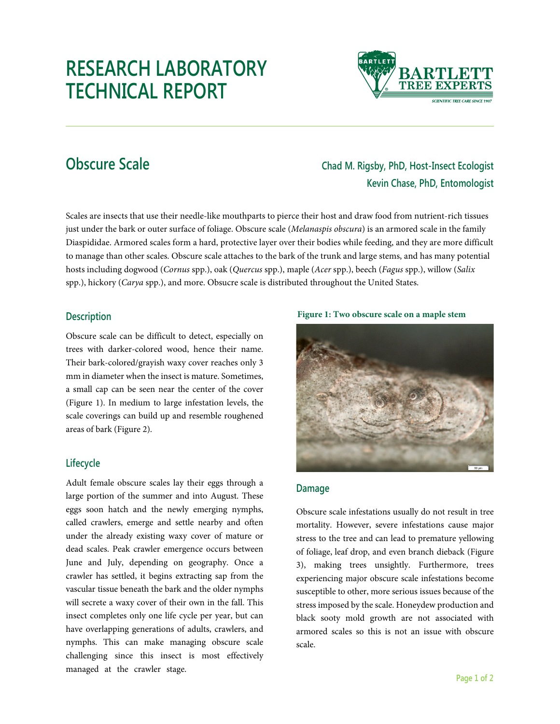# **RESEARCH LABORATORY TECHNICAL REPORT**



## **Obscure Scale Chad M. Rigsby, PhD, Host-Insect Ecologist Kevin Chase, PhD, Entomologist**

Scales are insects that use their needle-like mouthparts to pierce their host and draw food from nutrient-rich tissues just under the bark or outer surface of foliage. Obscure scale (*Melanaspis obscura*) is an armored scale in the family Diaspididae. Armored scales form a hard, protective layer over their bodies while feeding, and they are more difficult to manage than other scales. Obscure scale attaches to the bark of the trunk and large stems, and has many potential hosts including dogwood (*Cornus* spp.), oak (*Quercus* spp.), maple (*Acer* spp.), beech (*Fagus* spp.), willow (*Salix* spp.), hickory (*Carya* spp.), and more. Obsucre scale is distributed throughout the United States.

#### **Description**

Obscure scale can be difficult to detect, especially on trees with darker-colored wood, hence their name. Their bark-colored/grayish waxy cover reaches only 3 mm in diameter when the insect is mature. Sometimes, a small cap can be seen near the center of the cover (Figure 1). In medium to large infestation levels, the scale coverings can build up and resemble roughened areas of bark (Figure 2).

### **Lifecycle**

Adult female obscure scales lay their eggs through a large portion of the summer and into August. These eggs soon hatch and the newly emerging nymphs, called crawlers, emerge and settle nearby and often under the already existing waxy cover of mature or dead scales. Peak crawler emergence occurs between June and July, depending on geography. Once a crawler has settled, it begins extracting sap from the vascular tissue beneath the bark and the older nymphs will secrete a waxy cover of their own in the fall. This insect completes only one life cycle per year, but can have overlapping generations of adults, crawlers, and nymphs. This can make managing obscure scale challenging since this insect is most effectively managed at the crawler stage.

**Figure 1: Two obscure scale on a maple stem**



#### **Damage**

Obscure scale infestations usually do not result in tree mortality. However, severe infestations cause major stress to the tree and can lead to premature yellowing of foliage, leaf drop, and even branch dieback (Figure 3), making trees unsightly. Furthermore, trees experiencing major obscure scale infestations become susceptible to other, more serious issues because of the stress imposed by the scale. Honeydew production and black sooty mold growth are not associated with armored scales so this is not an issue with obscure scale.